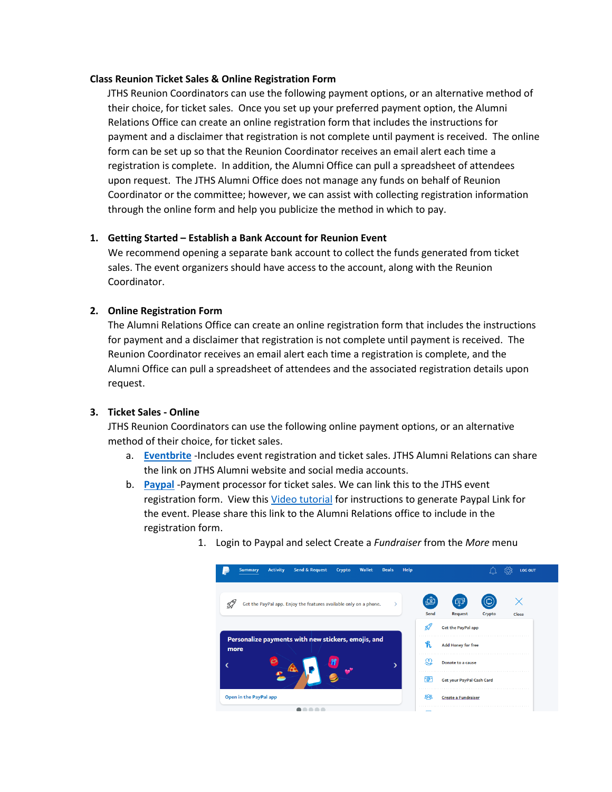#### **Class Reunion Ticket Sales & Online Registration Form**

 JTHS Reunion Coordinators can use the following payment options, or an alternative method of their choice, for ticket sales. Once you set up your preferred payment option, the Alumni Relations Office can create an online registration form that includes the instructions for payment and a disclaimer that registration is not complete until payment is received. The online form can be set up so that the Reunion Coordinator receives an email alert each time a registration is complete. In addition, the Alumni Office can pull a spreadsheet of attendees upon request. The JTHS Alumni Office does not manage any funds on behalf of Reunion Coordinator or the committee; however, we can assist with collecting registration information through the online form and help you publicize the method in which to pay.

## **1. Getting Started – Establish a Bank Account for Reunion Event**

We recommend opening a separate bank account to collect the funds generated from ticket sales. The event organizers should have access to the account, along with the Reunion Coordinator.

## **2. Online Registration Form**

The Alumni Relations Office can create an online registration form that includes the instructions for payment and a disclaimer that registration is not complete until payment is received. The Reunion Coordinator receives an email alert each time a registration is complete, and the Alumni Office can pull a spreadsheet of attendees and the associated registration details upon request.

## **3. Ticket Sales - Online**

JTHS Reunion Coordinators can use the following online payment options, or an alternative method of their choice, for ticket sales.

- a. **[Eventbrite](https://www.eventbrite.com/support/articles/en_US/Multi_Group_How_To/how-to-create-an-event?lg=en_US)** -Includes event registration and ticket sales. JTHS Alumni Relations can share the link on JTHS Alumni website and social media accounts.
- b. **[Paypal](https://www.paypal.com/us/webapps/mpp/non-profits/fundraising/donate-button?CampaignName=VanityURL-DonateButton)** -Payment processor for ticket sales. We can link this to the JTHS event registration form. View this [Video tutorial](https://www.youtube.com/watch?v=zw66lNdjpZA) for instructions to generate Paypal Link for the event. Please share this link to the Alumni Relations office to include in the registration form.



1. Login to Paypal and select Create a *Fundraiser* from the *More* menu